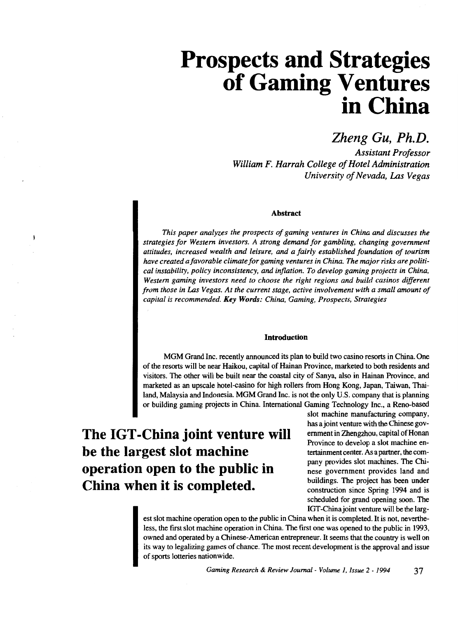# **Prospects and Strategies of Gaming Ventures in China**

### *Zheng Gu, Ph.D.*

*Assistant Professor William F. Harrah College of Hotel Administration University of Nevada, Las Vegas* 

#### **Abstract**

*This paper analyzes the prospects of gaming ventures in China and discusses the strategies for Western investors. A strong demand for gambling, changing government attitudes, increased wealth and leisure, and a fairly established foundation of tourism have created a favorable climate for gaming ventures in China. The major risks are political instability, policy inconsistency, and inflation. To develop gaming projects in China, Western gaming investors need to choose the right regions and build casinos different from those in Las Vegas. At the current stage, active involvement with a small amount of capital is recommended. Key Words: China, Gaming, Prospects, Strategies* 

#### **Introduction**

MGM Grand Inc. recently announced its plan to build two casino resorts in China. One of the resorts will be near Haikou, capital of Hainan Province, marketed to both residents and visitors. The other will be built near the coastal city of Sanya, also in Hainan Province, and marketed as an upscale hotel-casino for high rollers from Hong Kong, Japan, Taiwan, Thailand, Malaysia and Indonesia MGM Grand Inc. is not the only U.S. company that is planning or building gaming projects in China. International Gaming Technology Inc., a Reno-based

## **The IGT-China joint venture will be the largest slot machine operation open to the public in China when it is completed.**

 $\ddot{\phantom{1}}$ 

slot machine manufacturing company, has a joint venture with the Chinese government in Zhengzhou, capital of Honan Province to develop a slot machine entertainment center. As a partner, the company provides slot machines. The Chinese government provides land and buildings. The project has been under construction since Spring 1994 and is scheduled for grand opening soon. The IGT -China joint venture will be the larg-

est slot machine operation open to the public in China when it is completed. It is not, nevertheless, the first slot machine operation in China. The first one was opened to the public in 1993, owned and operated by a Chinese-American entrepreneur. It seems that the country is well on its way to legalizing games of chance. The most recent development is the approval and issue of sports lotteries nationwide.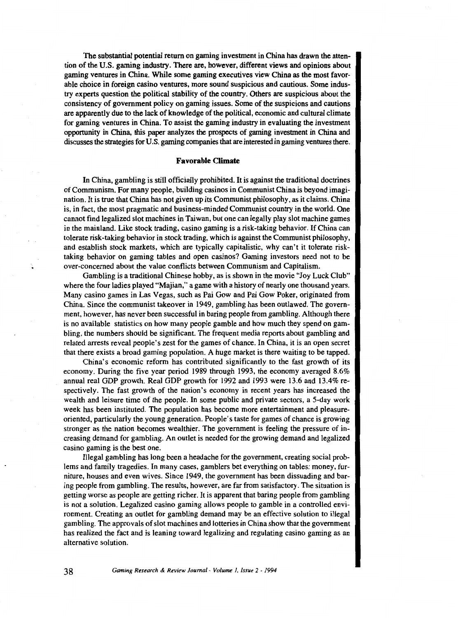The substantial potential return on gaming investment in China has drawn the attention of the U.S. gaming industry. There are, however, different views and opinions about gaming ventures in China. While some gaming executives view China as the most favorable choice in foreign casino ventures, more sound suspicious and cautious. Some industry experts question the political stability of the country. Others are suspicious about the consistency of government policy on gaming issues. Some of the suspicions and cautions are apparently due to the lack of knowledge of the political, economic and cultural climate for gaming ventures in China. To assist the gaming industry in evaluating the investment opportunity in China, this paper analyzes the prospects of gaming investment in China and discusses the strategies for U.S. gaming companies that are interested in gaming ventures there.

#### **Favorable Climate**

In China, gambling is still officially prohibited. It is against the traditional doctrines of Communism. For many people, building casinos in Communist China is beyond imagination. It is true that China has not given up its Communist philosophy, as it claims. China is, in fact, the most pragmatic and business-minded Communist country in the world. One cannot find legalized slot machines in Taiwan, but one can legally play slot machine games in the mainland. Like stock trading, casino gaming is a risk-taking behavior. If China can tolerate risk-taking behavior in stock trading, which is against the Communist philosophy, and establish stock markets, which are typically capitalistic, why can't it tolerate risktaking behavior on gaming tables and open casinos? Gaming investors need not to be over-concerned about the value conflicts between Communism and Capitalism.

Gambling is a traditional Chinese hobby, as is shown in the movie "Joy Luck Club" where the four ladies played "Majian," a game with a history of nearly one thousand years. Many casino games in Las Vegas, such as Pai Gow and Pai Gow Poker, originated from China. Since the communist takeover in 1949, gambling has been outlawed. The government, however, has never been successful in baring people from gambling. Although there is no available statistics on how many people gamble and how much they spend on gambling, the numbers should be significant. The frequent media reports about gambling and related arrests reveal people's zest for the games of chance. In China, it is an open secret that there exists a broad gaming population. A huge market is there waiting to be tapped.

China's economic reform has contributed significantly to the fast growth of its economy. During the five year period 1989 through 1993, the economy averaged 8.6% annual real GDP growth. Real GDP growth for 1992 and 1993 were 13.6 and 13.4% respectively. The fast growth of the nation's economy in recent years has increased the wealth and leisure time of the people. In some public and private sectors, a 5-day work week has been instituted. The population has become more entertainment and pleasureoriented, particularly the young generation. People's taste for games of chance is growing stronger as the nation becomes wealthier. The government is feeling the pressure of increasing demand for gambling. An outlet is needed for the growing demand and legalized casino gaming is the best one.

Illegal gambling has long been a headache for the government, creating social problems and family tragedies. In many cases, gamblers bet everything on tables: money, furniture, houses and even wives. Since 1949, the government has been dissuading and baring people from gambling. The results, however, are far from satisfactory. The situation is getting worse as people are getting richer. It is apparent that baring people from gambling is not a solution. Legalized casino gaming allows people to gamble in a controlled environment. Creating an outlet for gambling demand may be an effective solution to illegal gambling. The approvals of slot machines and lotteries in China show that the government has realized the fact and is leaning toward legalizing and regulating casino gaming as an alternative solution.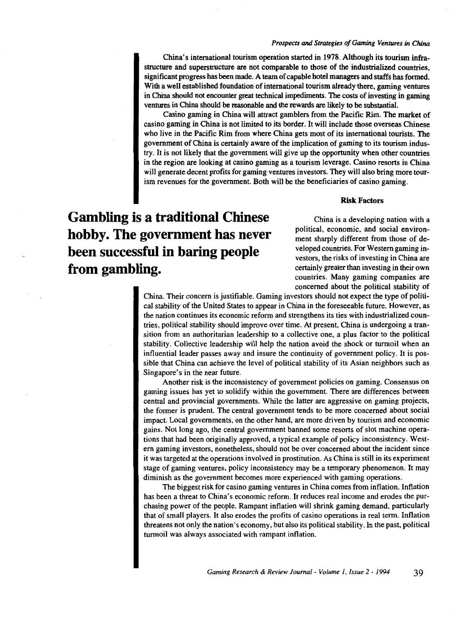#### *Prospects* and *Strategies of Gaming Ventures in China*

China's international tourism operation started in 1978. Although its tourism infrastructure and superstructure are not comparable to those of the industrialized countries, significant progress has been made. A team of capable hotel managers and staffs has formed. With a well established foundation of international tourism already there, gaming ventures in China should not encounter great technical impediments. The costs of investing in gaming ventures in China should be reasonable and the rewards are likely to be substantial.

Casino gaming in China will attract gamblers from the Pacific Rim. The market of casino gaming in China is not limited to its border. It will include those overseas Chinese who live in the Pacific Rim from where China gets most of its international tourists. The government of China is certainly aware of the implication of gaming to its tourism industry. It is not likely that the government will give up the opportunity when other countries in the region are looking at casino gaming as a tourism leverage. Casino resorts in China will generate decent profits for gaming ventures investors. They will also bring more tourism revenues for the government. Both will be the beneficiaries of casino gaming.

#### Risk Factors

**Gambling is a traditional Chinese hobby. The government has never been successful in baring people from gambling.** 

China is a developing nation with a political, economic, and social environment sharply different from those of developed countries. For Western gaming investors, the risks of investing in China are certainly greater than investing in their own countries. Many gaming companies are concerned about the political stability of

China. Their concern is justifiable. Gaming investors should not expect the type of political stability of the United States to appear in China in the foreseeable future. However, as the nation continues its economic reform and strengthens its ties with industrialized countries, political stability should improve over time. At present, China is undergoing a transition from an authoritarian leadership to a collective one, a plus factor to the political stability. Collective leadership will help the nation avoid the shock or turmoil when an influential leader passes away and insure the continuity of government policy. It is possible that China can achieve the level of political stability of its Asian neighbors such as Singapore's in the near future.

Another risk is the inconsistency of government policies on gaming. Consensus on gaming issues has yet to solidify within the government. There are differences between central and provincial governments. While the latter are aggressive on gaming projects, the former is prudent. The central government tends to be more concerned about social impact. Local governments, on the other hand, are more driven by tourism and economic gains. Not long ago, the central government banned some resorts of slot machine operations that had been originally approved, a typical example of policy inconsistency. Western gaming investors, nonetheless, should not be over concerned about the incident since it was targeted at the operations involved in prostitution. As China is still in its experiment stage of gaming ventures, policy inconsistency may be a temporary phenomenon. It may diminish as the government becomes more experienced with gaming operations.

The biggest risk for casino gaming ventures in China comes from inflation. Inflation has been a threat to China's economic reform. It reduces real income and erodes the purchasing power of the people. Rampant inflation will shrink gaming demand, particularly that of small players. It also erodes the profits of casino operations in real term. Inflation threatens not only the nation's economy, but also its political stability. In the past, political turmoil was always associated with rampant inflation.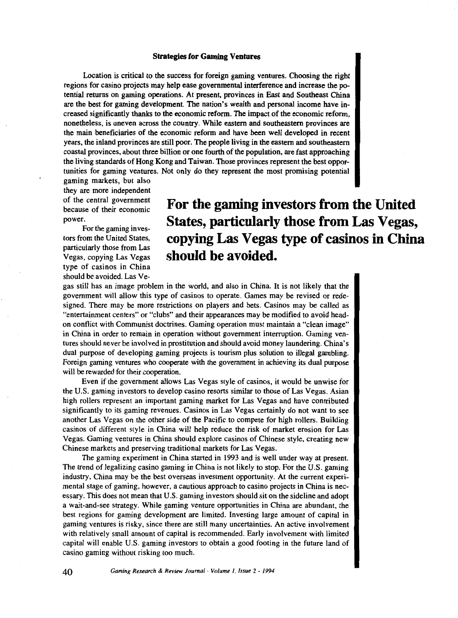#### **Strategies for Gaming Ventures**

Location is critical to the success for foreign gaming ventures. Choosing the right regions for casino projects may help ease governmental interference and increase the potential returns on gaming operations. At present, provinces in East and Southeast China are the best for gaming development. The nation's wealth and personal income have increased significantly thanks to the economic reform. The impact of the economic reform, nonetheless, is uneven across the country. While eastern and southeastern provinces are the main beneficiaries of the economic reform and have been well developed in recent years, the inland provinces are still poor. The people living in the eastern and southeastern coastal provinces, about three billion or one fourth of the population, are fast approaching the living standards of Hong Kong and Taiwan. Those provinces represent the best opportunities for gaming ventures. Not only do they represent the most promising potential

gaming markets, but also they are more independent of the central government because of their economic power.

For the gaming in vestors from the United States, particularly those from Las Vegas, copying Las Vegas type of casinos in China should be avoided. Las Ve-

### **For the gaming investors from the United States, particularly those from Las Vegas, copying Las Vegas type of casinos in China should be avoided.**

gas still has an image problem in the world, and also in China. It is not likely that the government will allow this type of casinos to operate. Games may be revised or redesigned. There may be more restrictions on players and bets. Casinos may be called as "entertainment centers" or "clubs" and their appearances may be modified to avoid headon conflict with Communist doctrines. Gaming operation must maintain a "clean image" in China in order to remain in operation without government interruption. Gaming ventures should never be involved in prostitution and should avoid money laundering. China's dual purpose of developing gaming projects is tourism plus solution to illegal gambling. Foreign gaming ventures who cooperate with the government in achieving its dual purpose will be rewarded for their cooperation.

Even if the government allows Las Vegas style of casinos, it would be unwise for the U.S. gaming investors to develop casino resorts similar to those of Las Vegas. Asian high rollers represent an important gaming market for Las Vegas and have contributed significantly to its gaming revenues. Casinos in Las Vegas certainly do not want to see another Las Vegas on the other side of the Pacific to compete for high rollers. Building casinos of different style in China will help reduce the risk of market erosion for Las Vegas. Gaming ventures in China should explore casinos of Chinese style, creating new Chinese markets and preserving traditional markets for Las Vegas.

The gaming experiment in China started in 1993 and is well under way at present. The trend of legalizing casino gaming in China is not likely to stop. For the U.S. gaming industry, China may be the best overseas investment opportunity. At the current experimental stage of gaming, however, a cautious approach to casino projects in China is necessary. This does not mean that U.S. gaming investors should sit on the sideline and adopt a wait-and-see strategy. While gaming venture opportunities in China are abundant, the best regions for gaming development are limited. Investing large amount of capital in gaming ventures is risky, since there are still many uncertainties. An active involvement with relatively small amount of capital is recommended. Early involvement with limited capital will enable U.S. gaming investors to obtain a good footing in the future land of casino gaming without risking too much.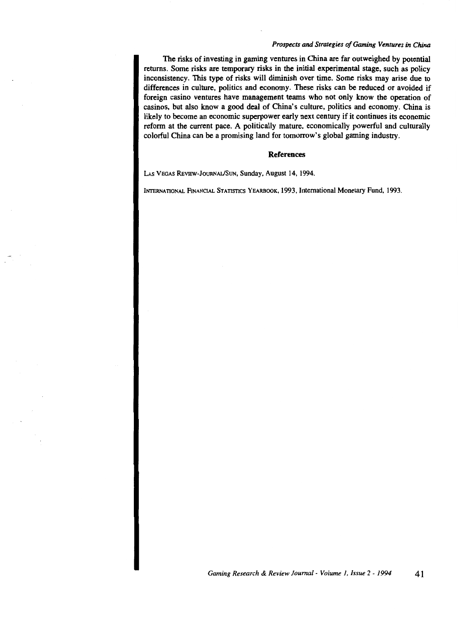#### *Prospects* and *Strategies of Gaming Ventures in China*

The risks of investing in gaming ventures in China are far outweighed by potential returns. Some risks are temporary risks in the initial experimental stage, such as policy inconsistency. This type of risks will diminish over time. Some risks may arise due to differences in culture, politics and economy. These risks can be reduced or avoided if foreign casino ventures have management teams who not only know the operation of casinos, but also know a good deal of China's culture, politics and economy. China is likely to become an economic superpower early next century if it continues its economic reform at the current pace. A politically mature, economically powerful and culturally colorful China can be a promising land for tomorrow's global gaming industry.

#### **References**

LAS VEGAS REVIEW-JOURNAL/SUN, Sunday, August 14, 1994.

INTERNATIONAL FINANCIAL STATISTICS YEARBOOK, 1993, International Monetary Fund, 1993.